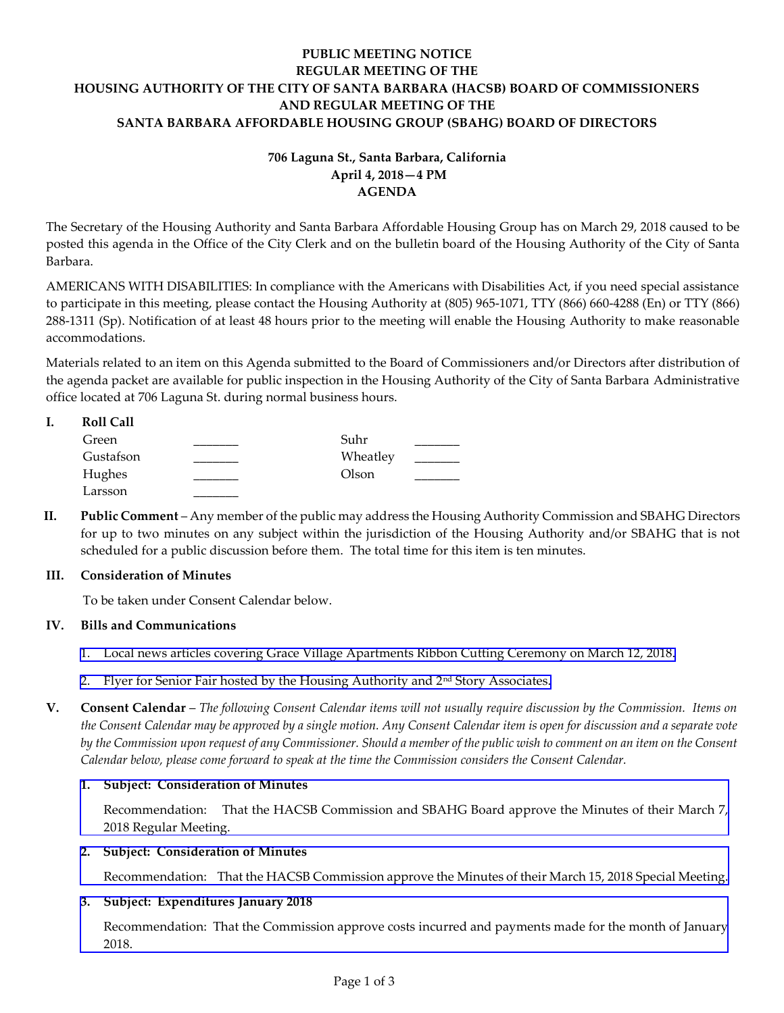# **PUBLIC MEETING NOTICE REGULAR MEETING OF THE HOUSING AUTHORITY OF THE CITY OF SANTA BARBARA (HACSB) BOARD OF COMMISSIONERS AND REGULAR MEETING OF THE SANTA BARBARA AFFORDABLE HOUSING GROUP (SBAHG) BOARD OF DIRECTORS**

# **706 Laguna St., Santa Barbara, California April 4, 2018—4 PM AGENDA**

The Secretary of the Housing Authority and Santa Barbara Affordable Housing Group has on March 29, 2018 caused to be posted this agenda in the Office of the City Clerk and on the bulletin board of the Housing Authority of the City of Santa Barbara.

AMERICANS WITH DISABILITIES: In compliance with the Americans with Disabilities Act, if you need special assistance to participate in this meeting, please contact the Housing Authority at (805) 965-1071, TTY (866) 660-4288 (En) or TTY (866) 288-1311 (Sp). Notification of at least 48 hours prior to the meeting will enable the Housing Authority to make reasonable accommodations.

Materials related to an item on this Agenda submitted to the Board of Commissioners and/or Directors after distribution of the agenda packet are available for public inspection in the Housing Authority of the City of Santa Barbara Administrative office located at 706 Laguna St. during normal business hours.

| <b>Roll Call</b> |          |  |
|------------------|----------|--|
| Green            | Suhr     |  |
| Gustafson        | Wheatley |  |
| Hughes           | Olson    |  |
| Larsson          |          |  |

**II. Public Comment** – Any member of the public may address the Housing Authority Commission and SBAHG Directors for up to two minutes on any subject within the jurisdiction of the Housing Authority and/or SBAHG that is not scheduled for a public discussion before them. The total time for this item is ten minutes.

## **III. Consideration of Minutes**

To be taken under Consent Calendar below.

# **IV. Bills and Communications**

- 1. Local news articles [covering Grace Village Apartments Ribbon Cutting Ceremony on March 12, 2018.](http://hacsb.org/download/meetings_2018/items/04_april/Item_IV_1_2018_04_04.pdf)
- 2. [Flyer for Senior Fair hosted by the Housing Authority and 2](http://hacsb.org/download/meetings_2018/items/04_april/Item_IV_2_2018_04_04.pdf)<sup>nd</sup> Story Associates.

**V. Consent Calendar** – *The following Consent Calendar items will not usually require discussion by the Commission. Items on the Consent Calendar may be approved by a single motion. Any Consent Calendar item is open for discussion and a separate vote by the Commission upon request of any Commissioner. Should a member of the public wish to comment on an item on the Consent Calendar below, please come forward to speak at the time the Commission considers the Consent Calendar.*

## **1. Subject: Consideration of Minutes**

[Recommendation: That the HACSB Commission and SBAHG Board approve the Minutes of their March](http://hacsb.org/download/meetings_2018/items/04_april/Item_V_1_2018_04_04.pdf) 7, 2018 Regular Meeting.

## **2. Subject: Consideration of Minutes**

[Recommendation: That the HACSB Commission approve the Minutes of their March 15, 2018 Special](http://hacsb.org/download/meetings_2018/items/04_april/Item_V_2_2018_04_04.pdf) Meeting.

# **3. Subject: Expenditures January 2018**

[Recommendation: That the Commission approve costs](http://hacsb.org/download/meetings_2018/items/04_april/Item_V_3_2018_04_04.pdf) incurred and payments made for the month of January 2018.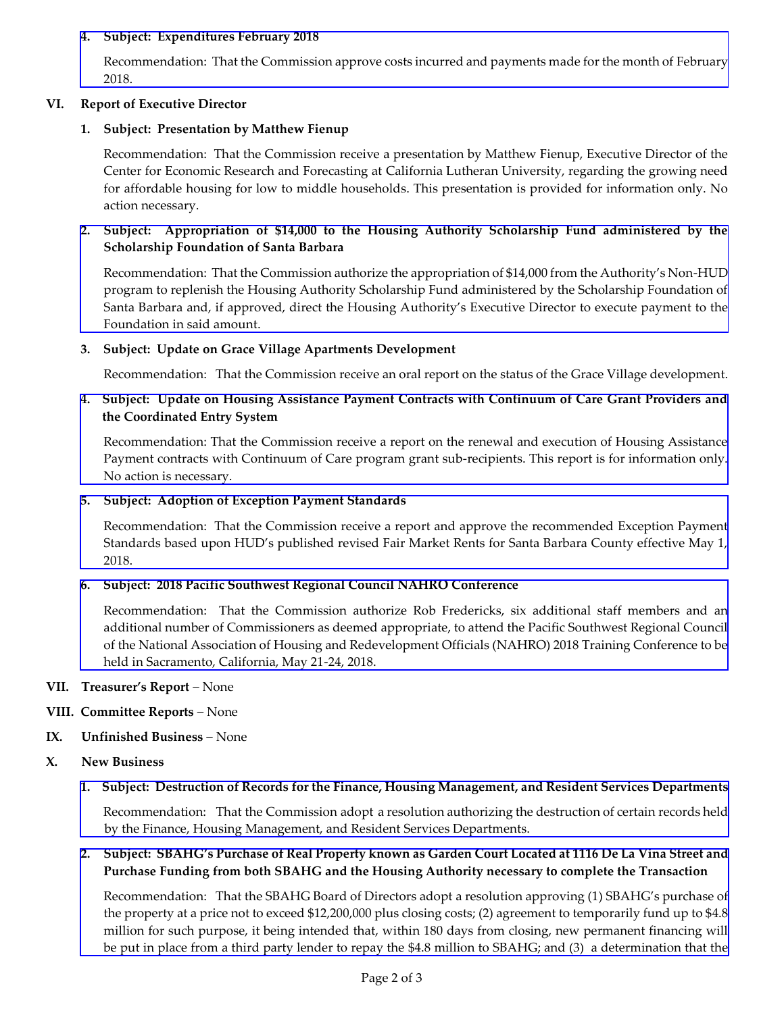## **4. Subject: Expenditures February 2018**

[Recommendation: That the Commission approve costs incurred and payments made for the month of February](http://hacsb.org/download/meetings_2018/items/04_april/Item_V_4_2018_04_04.pdf)  2018.

## **VI. Report of Executive Director**

## **1. Subject: Presentation by Matthew Fienup**

Recommendation: That the Commission receive a presentation by Matthew Fienup, Executive Director of the Center for Economic Research and Forecasting at California Lutheran University, regarding the growing need for affordable housing for low to middle households. This presentation is provided for information only. No action necessary.

## **2. [Subject: Appropriation of \\$14,000 to the Housing Authority Scholarship Fund administered by the](http://hacsb.org/download/meetings_2018/items/04_april/Item_VI_2_2018_04_04.pdf)  Scholarship Foundation of Santa Barbara**

Recommendation: That the Commission authorize the appropriation of \$14,000 from the Authority's Non-HUD program to replenish the Housing Authority Scholarship Fund administered by the Scholarship Foundation of Santa Barbara and, if approved, direct the Housing Authority's Executive Director to execute payment to the Foundation in said amount.

#### **3. Subject: Update on Grace Village Apartments Development**

Recommendation: That the Commission receive an oral report on the status of the Grace Village development.

## **[4. Subject: Update on Housing Assistance Payment Contracts with Continuum of Care Grant Providers and](http://hacsb.org/download/meetings_2018/items/04_april/Item_VI_4_2018_04_04.pdf)  the Coordinated Entry System**

Recommendation: That the Commission receive a report on the renewal and execution of Housing Assistance Payment contracts with Continuum of Care program grant sub-recipients. This report is for information only. No action is necessary.

#### **5. Subject: Adoption of Exception Payment Standards**

[Recommendation: That the Commission receive a report and approve the recommended Exception Payment](http://hacsb.org/download/meetings_2018/items/04_april/Item_VI_5_2018_04_04.pdf)  Standards based upon HUD's published revised Fair Market Rents for Santa Barbara County effective May 1, 2018.

## **6. Subject: 2018 Pacific Southwest Regional Council NAHRO Conference**

[Recommendation: That the Commission authorize Rob Fredericks, six additional staff members and an](http://hacsb.org/download/meetings_2018/items/04_april/Item_VI_6_2018_04_04.pdf)  additional number of Commissioners as deemed appropriate, to attend the Pacific Southwest Regional Council of the National Association of Housing and Redevelopment Officials (NAHRO) 2018 Training Conference to be held in Sacramento, California, May 21-24, 2018.

## **VII. Treasurer's Report** – None

- **VIII. Committee Reports**  None
- **IX. Unfinished Business**  None

## **X. New Business**

## **[1. Subject: Destruction of Records for the Finance, Housing Management, and Resident Services Departments](http://hacsb.org/download/meetings_2018/items/04_april/Item_X_1_2018_04_04.pdf)**

 Recommendation: That the Commission adopt a resolution authorizing the destruction of certain records held by the Finance, Housing Management, and Resident Services Departments.

## **2. Subject: SBAHG's Purchase of Real Property known as Garden Court Located at 1116 De La Vina Street and Purchase Funding from both SBAHG and the Housing Authority necessary to complete the Transaction**

Recommendation: That the SBAHG Board of Directors adopt a resolution approving (1) SBAHG's purchase of the property at a price not to exceed \$12,200,000 plus closing costs; (2) agreement to temporarily fund up to \$4.8 [million for such purpose, it being intended that, within 180 days from closing, new permanent financing will](http://hacsb.org/download/meetings_2018/items/04_april/Item_X_2_2018_04_04.pdf)  be put in place from a third party lender to repay the \$4.8 million to SBAHG; and (3) a determination that the